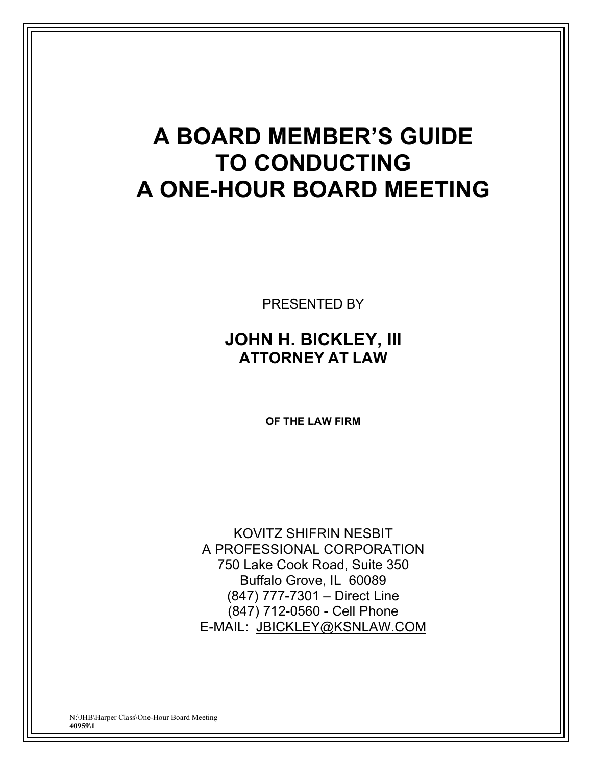# **A BOARD MEMBER'S GUIDE TO CONDUCTING A ONE-HOUR BOARD MEETING**

PRESENTED BY

## **JOHN H. BICKLEY, III ATTORNEY AT LAW**

**OF THE LAW FIRM**

KOVITZ SHIFRIN NESBIT A PROFESSIONAL CORPORATION 750 Lake Cook Road, Suite 350 Buffalo Grove, IL 60089 (847) 777-7301 – Direct Line (847) 712-0560 - Cell Phone E-MAIL: JBICKLEY@KSNLAW.COM

N:\JHB\Harper Class\One-Hour Board Meeting **40959\1**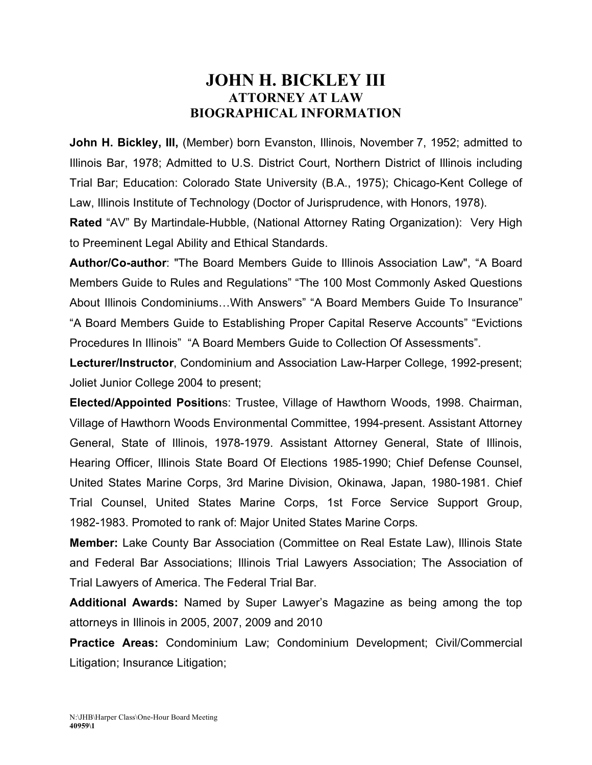### **JOHN H. BICKLEY III ATTORNEY AT LAW BIOGRAPHICAL INFORMATION**

**John H. Bickley, III,** (Member) born Evanston, Illinois, November 7, 1952; admitted to Illinois Bar, 1978; Admitted to U.S. District Court, Northern District of Illinois including Trial Bar; Education: Colorado State University (B.A., 1975); Chicago-Kent College of Law, Illinois Institute of Technology (Doctor of Jurisprudence, with Honors, 1978).

**Rated** "AV" By Martindale-Hubble, (National Attorney Rating Organization): Very High to Preeminent Legal Ability and Ethical Standards.

**Author/Co-author**: "The Board Members Guide to Illinois Association Law", "A Board Members Guide to Rules and Regulations" "The 100 Most Commonly Asked Questions About Illinois Condominiums…With Answers" "A Board Members Guide To Insurance" "A Board Members Guide to Establishing Proper Capital Reserve Accounts" "Evictions Procedures In Illinois" "A Board Members Guide to Collection Of Assessments".

**Lecturer/Instructor**, Condominium and Association Law-Harper College, 1992-present; Joliet Junior College 2004 to present;

**Elected/Appointed Position**s: Trustee, Village of Hawthorn Woods, 1998. Chairman, Village of Hawthorn Woods Environmental Committee, 1994-present. Assistant Attorney General, State of Illinois, 1978-1979. Assistant Attorney General, State of Illinois, Hearing Officer, Illinois State Board Of Elections 1985-1990; Chief Defense Counsel, United States Marine Corps, 3rd Marine Division, Okinawa, Japan, 1980-1981. Chief Trial Counsel, United States Marine Corps, 1st Force Service Support Group, 1982-1983. Promoted to rank of: Major United States Marine Corps.

**Member:** Lake County Bar Association (Committee on Real Estate Law), Illinois State and Federal Bar Associations; Illinois Trial Lawyers Association; The Association of Trial Lawyers of America. The Federal Trial Bar.

**Additional Awards:** Named by Super Lawyer's Magazine as being among the top attorneys in Illinois in 2005, 2007, 2009 and 2010

**Practice Areas:** Condominium Law; Condominium Development; Civil/Commercial Litigation; Insurance Litigation;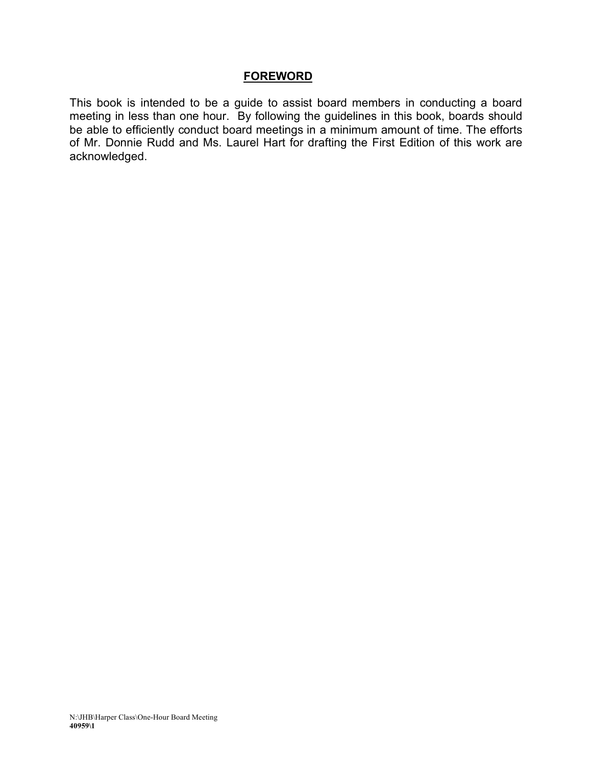#### **FOREWORD**

This book is intended to be a guide to assist board members in conducting a board meeting in less than one hour. By following the guidelines in this book, boards should be able to efficiently conduct board meetings in a minimum amount of time. The efforts of Mr. Donnie Rudd and Ms. Laurel Hart for drafting the First Edition of this work are acknowledged.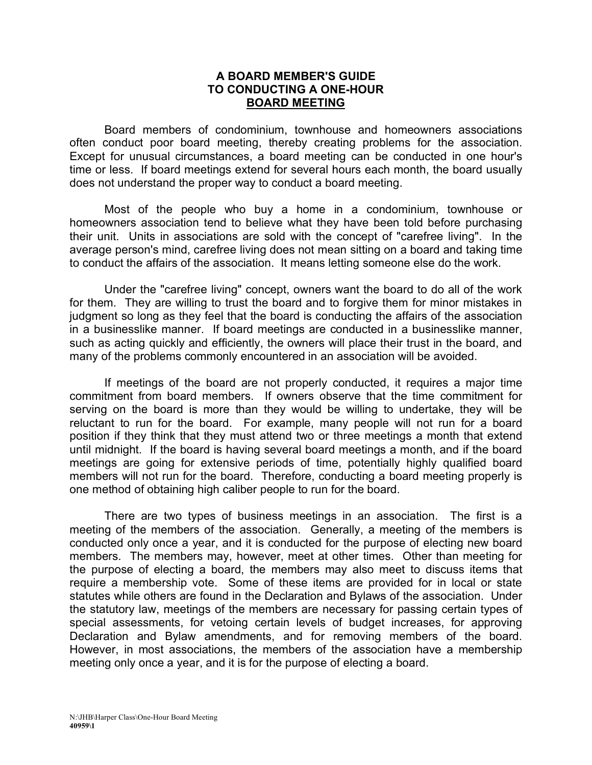#### **A BOARD MEMBER'S GUIDE TO CONDUCTING A ONE-HOUR BOARD MEETING**

Board members of condominium, townhouse and homeowners associations often conduct poor board meeting, thereby creating problems for the association. Except for unusual circumstances, a board meeting can be conducted in one hour's time or less. If board meetings extend for several hours each month, the board usually does not understand the proper way to conduct a board meeting.

Most of the people who buy a home in a condominium, townhouse or homeowners association tend to believe what they have been told before purchasing their unit. Units in associations are sold with the concept of "carefree living". In the average person's mind, carefree living does not mean sitting on a board and taking time to conduct the affairs of the association. It means letting someone else do the work.

Under the "carefree living" concept, owners want the board to do all of the work for them. They are willing to trust the board and to forgive them for minor mistakes in judgment so long as they feel that the board is conducting the affairs of the association in a businesslike manner. If board meetings are conducted in a businesslike manner, such as acting quickly and efficiently, the owners will place their trust in the board, and many of the problems commonly encountered in an association will be avoided.

If meetings of the board are not properly conducted, it requires a major time commitment from board members. If owners observe that the time commitment for serving on the board is more than they would be willing to undertake, they will be reluctant to run for the board. For example, many people will not run for a board position if they think that they must attend two or three meetings a month that extend until midnight. If the board is having several board meetings a month, and if the board meetings are going for extensive periods of time, potentially highly qualified board members will not run for the board. Therefore, conducting a board meeting properly is one method of obtaining high caliber people to run for the board.

There are two types of business meetings in an association. The first is a meeting of the members of the association. Generally, a meeting of the members is conducted only once a year, and it is conducted for the purpose of electing new board members. The members may, however, meet at other times. Other than meeting for the purpose of electing a board, the members may also meet to discuss items that require a membership vote. Some of these items are provided for in local or state statutes while others are found in the Declaration and Bylaws of the association. Under the statutory law, meetings of the members are necessary for passing certain types of special assessments, for vetoing certain levels of budget increases, for approving Declaration and Bylaw amendments, and for removing members of the board. However, in most associations, the members of the association have a membership meeting only once a year, and it is for the purpose of electing a board.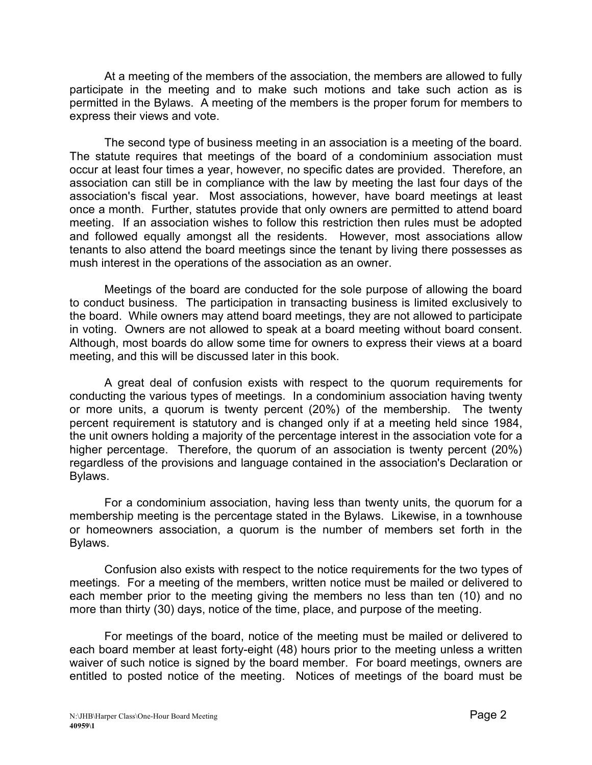At a meeting of the members of the association, the members are allowed to fully participate in the meeting and to make such motions and take such action as is permitted in the Bylaws. A meeting of the members is the proper forum for members to express their views and vote.

The second type of business meeting in an association is a meeting of the board. The statute requires that meetings of the board of a condominium association must occur at least four times a year, however, no specific dates are provided. Therefore, an association can still be in compliance with the law by meeting the last four days of the association's fiscal year. Most associations, however, have board meetings at least once a month. Further, statutes provide that only owners are permitted to attend board meeting. If an association wishes to follow this restriction then rules must be adopted and followed equally amongst all the residents. However, most associations allow tenants to also attend the board meetings since the tenant by living there possesses as mush interest in the operations of the association as an owner.

Meetings of the board are conducted for the sole purpose of allowing the board to conduct business. The participation in transacting business is limited exclusively to the board. While owners may attend board meetings, they are not allowed to participate in voting. Owners are not allowed to speak at a board meeting without board consent. Although, most boards do allow some time for owners to express their views at a board meeting, and this will be discussed later in this book.

A great deal of confusion exists with respect to the quorum requirements for conducting the various types of meetings. In a condominium association having twenty or more units, a quorum is twenty percent (20%) of the membership. The twenty percent requirement is statutory and is changed only if at a meeting held since 1984, the unit owners holding a majority of the percentage interest in the association vote for a higher percentage. Therefore, the quorum of an association is twenty percent (20%) regardless of the provisions and language contained in the association's Declaration or Bylaws.

For a condominium association, having less than twenty units, the quorum for a membership meeting is the percentage stated in the Bylaws. Likewise, in a townhouse or homeowners association, a quorum is the number of members set forth in the Bylaws.

Confusion also exists with respect to the notice requirements for the two types of meetings. For a meeting of the members, written notice must be mailed or delivered to each member prior to the meeting giving the members no less than ten (10) and no more than thirty (30) days, notice of the time, place, and purpose of the meeting.

For meetings of the board, notice of the meeting must be mailed or delivered to each board member at least forty-eight (48) hours prior to the meeting unless a written waiver of such notice is signed by the board member. For board meetings, owners are entitled to posted notice of the meeting. Notices of meetings of the board must be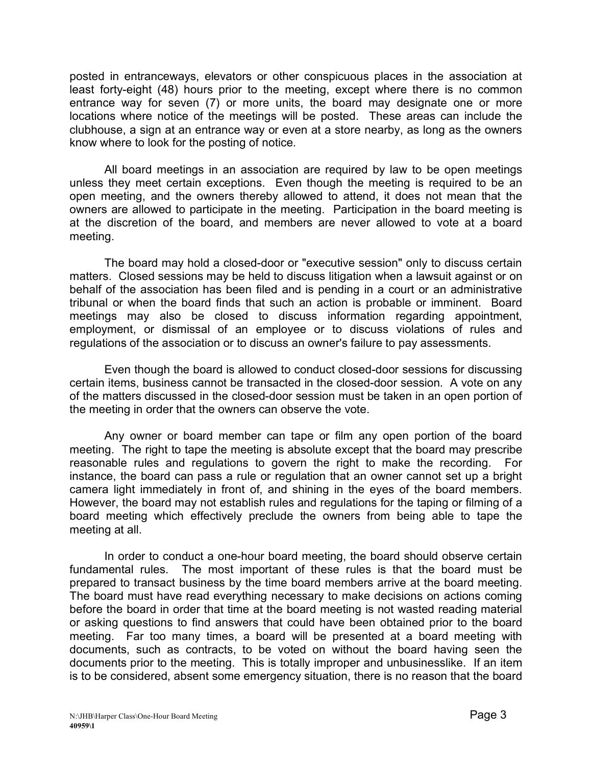posted in entranceways, elevators or other conspicuous places in the association at least forty-eight (48) hours prior to the meeting, except where there is no common entrance way for seven (7) or more units, the board may designate one or more locations where notice of the meetings will be posted. These areas can include the clubhouse, a sign at an entrance way or even at a store nearby, as long as the owners know where to look for the posting of notice.

All board meetings in an association are required by law to be open meetings unless they meet certain exceptions. Even though the meeting is required to be an open meeting, and the owners thereby allowed to attend, it does not mean that the owners are allowed to participate in the meeting. Participation in the board meeting is at the discretion of the board, and members are never allowed to vote at a board meeting.

The board may hold a closed-door or "executive session" only to discuss certain matters. Closed sessions may be held to discuss litigation when a lawsuit against or on behalf of the association has been filed and is pending in a court or an administrative tribunal or when the board finds that such an action is probable or imminent. Board meetings may also be closed to discuss information regarding appointment, employment, or dismissal of an employee or to discuss violations of rules and regulations of the association or to discuss an owner's failure to pay assessments.

Even though the board is allowed to conduct closed-door sessions for discussing certain items, business cannot be transacted in the closed-door session. A vote on any of the matters discussed in the closed-door session must be taken in an open portion of the meeting in order that the owners can observe the vote.

Any owner or board member can tape or film any open portion of the board meeting. The right to tape the meeting is absolute except that the board may prescribe reasonable rules and regulations to govern the right to make the recording. For instance, the board can pass a rule or regulation that an owner cannot set up a bright camera light immediately in front of, and shining in the eyes of the board members. However, the board may not establish rules and regulations for the taping or filming of a board meeting which effectively preclude the owners from being able to tape the meeting at all.

In order to conduct a one-hour board meeting, the board should observe certain fundamental rules. The most important of these rules is that the board must be prepared to transact business by the time board members arrive at the board meeting. The board must have read everything necessary to make decisions on actions coming before the board in order that time at the board meeting is not wasted reading material or asking questions to find answers that could have been obtained prior to the board meeting. Far too many times, a board will be presented at a board meeting with documents, such as contracts, to be voted on without the board having seen the documents prior to the meeting. This is totally improper and unbusinesslike. If an item is to be considered, absent some emergency situation, there is no reason that the board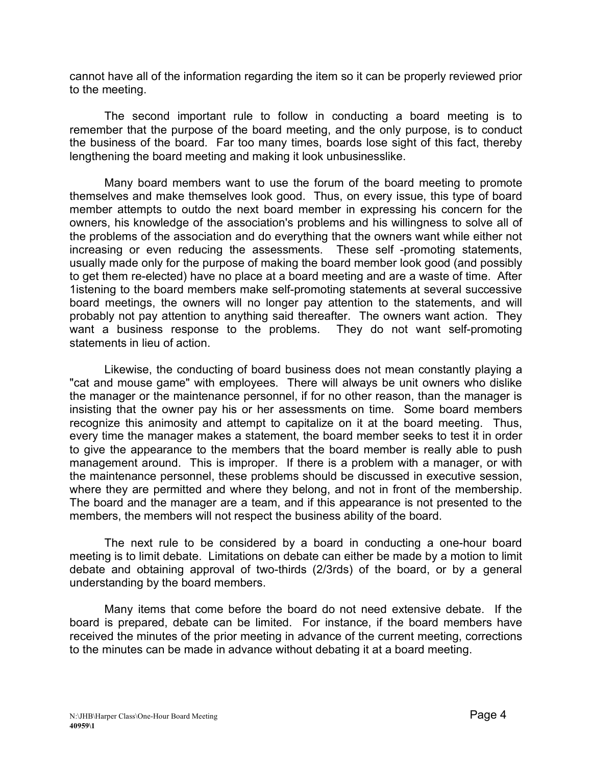cannot have all of the information regarding the item so it can be properly reviewed prior to the meeting.

The second important rule to follow in conducting a board meeting is to remember that the purpose of the board meeting, and the only purpose, is to conduct the business of the board. Far too many times, boards lose sight of this fact, thereby lengthening the board meeting and making it look unbusinesslike.

Many board members want to use the forum of the board meeting to promote themselves and make themselves look good. Thus, on every issue, this type of board member attempts to outdo the next board member in expressing his concern for the owners, his knowledge of the association's problems and his willingness to solve all of the problems of the association and do everything that the owners want while either not increasing or even reducing the assessments. These self -promoting statements, usually made only for the purpose of making the board member look good (and possibly to get them re-elected) have no place at a board meeting and are a waste of time. After 1istening to the board members make self-promoting statements at several successive board meetings, the owners will no longer pay attention to the statements, and will probably not pay attention to anything said thereafter. The owners want action. They want a business response to the problems. They do not want self-promoting statements in lieu of action.

Likewise, the conducting of board business does not mean constantly playing a "cat and mouse game" with employees. There will always be unit owners who dislike the manager or the maintenance personnel, if for no other reason, than the manager is insisting that the owner pay his or her assessments on time. Some board members recognize this animosity and attempt to capitalize on it at the board meeting. Thus, every time the manager makes a statement, the board member seeks to test it in order to give the appearance to the members that the board member is really able to push management around. This is improper. If there is a problem with a manager, or with the maintenance personnel, these problems should be discussed in executive session, where they are permitted and where they belong, and not in front of the membership. The board and the manager are a team, and if this appearance is not presented to the members, the members will not respect the business ability of the board.

The next rule to be considered by a board in conducting a one-hour board meeting is to limit debate. Limitations on debate can either be made by a motion to limit debate and obtaining approval of two-thirds (2/3rds) of the board, or by a general understanding by the board members.

Many items that come before the board do not need extensive debate. If the board is prepared, debate can be limited. For instance, if the board members have received the minutes of the prior meeting in advance of the current meeting, corrections to the minutes can be made in advance without debating it at a board meeting.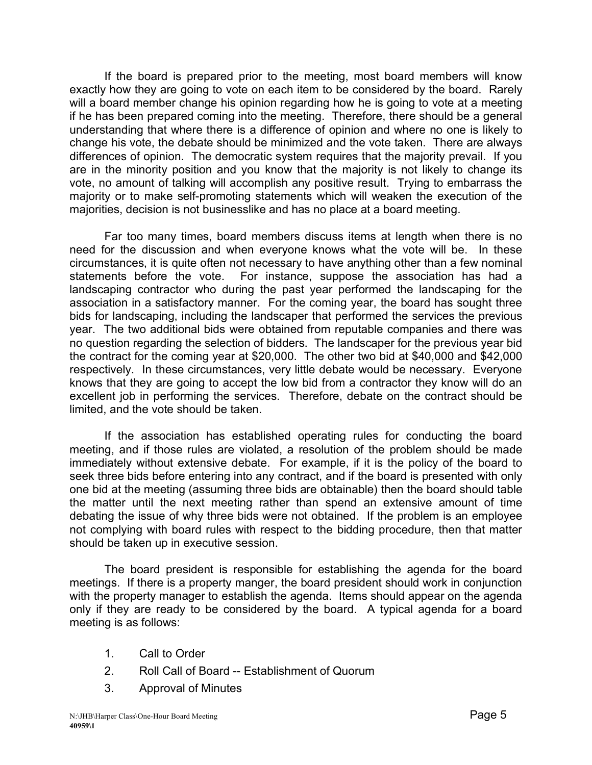If the board is prepared prior to the meeting, most board members will know exactly how they are going to vote on each item to be considered by the board. Rarely will a board member change his opinion regarding how he is going to vote at a meeting if he has been prepared coming into the meeting. Therefore, there should be a general understanding that where there is a difference of opinion and where no one is likely to change his vote, the debate should be minimized and the vote taken. There are always differences of opinion. The democratic system requires that the majority prevail. If you are in the minority position and you know that the majority is not likely to change its vote, no amount of talking will accomplish any positive result. Trying to embarrass the majority or to make self-promoting statements which will weaken the execution of the majorities, decision is not businesslike and has no place at a board meeting.

Far too many times, board members discuss items at length when there is no need for the discussion and when everyone knows what the vote will be. In these circumstances, it is quite often not necessary to have anything other than a few nominal statements before the vote. For instance, suppose the association has had a landscaping contractor who during the past year performed the landscaping for the association in a satisfactory manner. For the coming year, the board has sought three bids for landscaping, including the landscaper that performed the services the previous year. The two additional bids were obtained from reputable companies and there was no question regarding the selection of bidders. The landscaper for the previous year bid the contract for the coming year at \$20,000. The other two bid at \$40,000 and \$42,000 respectively. In these circumstances, very little debate would be necessary. Everyone knows that they are going to accept the low bid from a contractor they know will do an excellent job in performing the services. Therefore, debate on the contract should be limited, and the vote should be taken.

If the association has established operating rules for conducting the board meeting, and if those rules are violated, a resolution of the problem should be made immediately without extensive debate. For example, if it is the policy of the board to seek three bids before entering into any contract, and if the board is presented with only one bid at the meeting (assuming three bids are obtainable) then the board should table the matter until the next meeting rather than spend an extensive amount of time debating the issue of why three bids were not obtained. If the problem is an employee not complying with board rules with respect to the bidding procedure, then that matter should be taken up in executive session.

The board president is responsible for establishing the agenda for the board meetings. If there is a property manger, the board president should work in conjunction with the property manager to establish the agenda. Items should appear on the agenda only if they are ready to be considered by the board. A typical agenda for a board meeting is as follows:

- 1. Call to Order
- 2. Roll Call of Board -- Establishment of Quorum
- 3. Approval of Minutes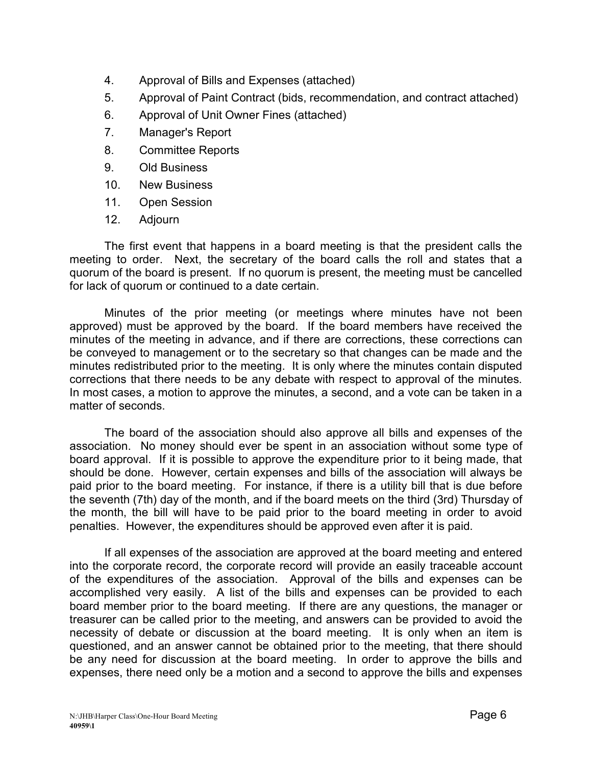- 4. Approval of Bills and Expenses (attached)
- 5. Approval of Paint Contract (bids, recommendation, and contract attached)
- 6. Approval of Unit Owner Fines (attached)
- 7. Manager's Report
- 8. Committee Reports
- 9. Old Business
- 10. New Business
- 11. Open Session
- 12. Adjourn

The first event that happens in a board meeting is that the president calls the meeting to order. Next, the secretary of the board calls the roll and states that a quorum of the board is present. If no quorum is present, the meeting must be cancelled for lack of quorum or continued to a date certain.

Minutes of the prior meeting (or meetings where minutes have not been approved) must be approved by the board. If the board members have received the minutes of the meeting in advance, and if there are corrections, these corrections can be conveyed to management or to the secretary so that changes can be made and the minutes redistributed prior to the meeting. It is only where the minutes contain disputed corrections that there needs to be any debate with respect to approval of the minutes. In most cases, a motion to approve the minutes, a second, and a vote can be taken in a matter of seconds.

The board of the association should also approve all bills and expenses of the association. No money should ever be spent in an association without some type of board approval. If it is possible to approve the expenditure prior to it being made, that should be done. However, certain expenses and bills of the association will always be paid prior to the board meeting. For instance, if there is a utility bill that is due before the seventh (7th) day of the month, and if the board meets on the third (3rd) Thursday of the month, the bill will have to be paid prior to the board meeting in order to avoid penalties. However, the expenditures should be approved even after it is paid.

If all expenses of the association are approved at the board meeting and entered into the corporate record, the corporate record will provide an easily traceable account of the expenditures of the association. Approval of the bills and expenses can be accomplished very easily. A list of the bills and expenses can be provided to each board member prior to the board meeting. If there are any questions, the manager or treasurer can be called prior to the meeting, and answers can be provided to avoid the necessity of debate or discussion at the board meeting. It is only when an item is questioned, and an answer cannot be obtained prior to the meeting, that there should be any need for discussion at the board meeting. In order to approve the bills and expenses, there need only be a motion and a second to approve the bills and expenses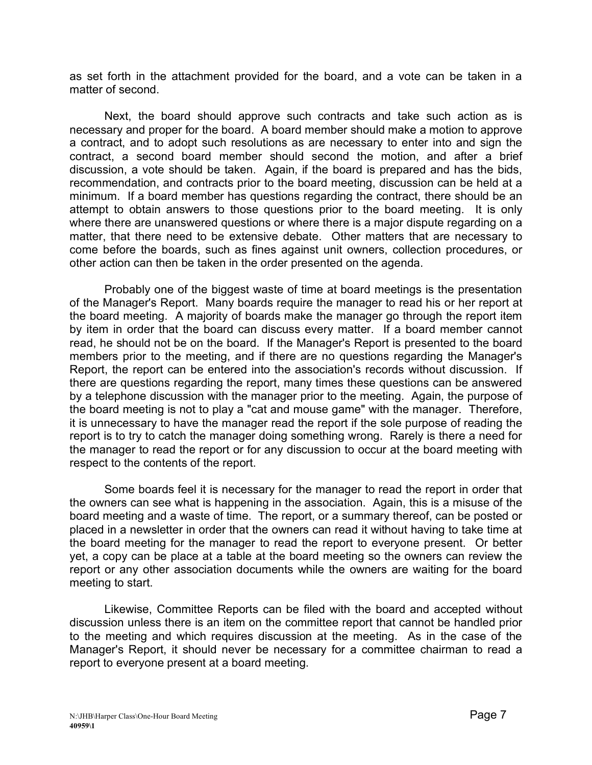as set forth in the attachment provided for the board, and a vote can be taken in a matter of second.

Next, the board should approve such contracts and take such action as is necessary and proper for the board. A board member should make a motion to approve a contract, and to adopt such resolutions as are necessary to enter into and sign the contract, a second board member should second the motion, and after a brief discussion, a vote should be taken. Again, if the board is prepared and has the bids, recommendation, and contracts prior to the board meeting, discussion can be held at a minimum. If a board member has questions regarding the contract, there should be an attempt to obtain answers to those questions prior to the board meeting. It is only where there are unanswered questions or where there is a major dispute regarding on a matter, that there need to be extensive debate. Other matters that are necessary to come before the boards, such as fines against unit owners, collection procedures, or other action can then be taken in the order presented on the agenda.

Probably one of the biggest waste of time at board meetings is the presentation of the Manager's Report. Many boards require the manager to read his or her report at the board meeting. A majority of boards make the manager go through the report item by item in order that the board can discuss every matter. If a board member cannot read, he should not be on the board. If the Manager's Report is presented to the board members prior to the meeting, and if there are no questions regarding the Manager's Report, the report can be entered into the association's records without discussion. If there are questions regarding the report, many times these questions can be answered by a telephone discussion with the manager prior to the meeting. Again, the purpose of the board meeting is not to play a "cat and mouse game" with the manager. Therefore, it is unnecessary to have the manager read the report if the sole purpose of reading the report is to try to catch the manager doing something wrong. Rarely is there a need for the manager to read the report or for any discussion to occur at the board meeting with respect to the contents of the report.

Some boards feel it is necessary for the manager to read the report in order that the owners can see what is happening in the association. Again, this is a misuse of the board meeting and a waste of time. The report, or a summary thereof, can be posted or placed in a newsletter in order that the owners can read it without having to take time at the board meeting for the manager to read the report to everyone present. Or better yet, a copy can be place at a table at the board meeting so the owners can review the report or any other association documents while the owners are waiting for the board meeting to start.

Likewise, Committee Reports can be filed with the board and accepted without discussion unless there is an item on the committee report that cannot be handled prior to the meeting and which requires discussion at the meeting. As in the case of the Manager's Report, it should never be necessary for a committee chairman to read a report to everyone present at a board meeting.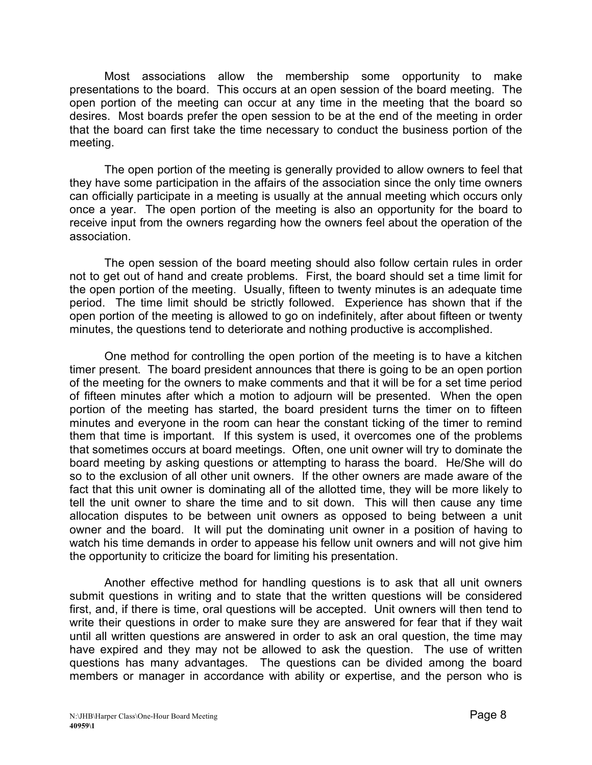Most associations allow the membership some opportunity to make presentations to the board. This occurs at an open session of the board meeting. The open portion of the meeting can occur at any time in the meeting that the board so desires. Most boards prefer the open session to be at the end of the meeting in order that the board can first take the time necessary to conduct the business portion of the meeting.

The open portion of the meeting is generally provided to allow owners to feel that they have some participation in the affairs of the association since the only time owners can officially participate in a meeting is usually at the annual meeting which occurs only once a year. The open portion of the meeting is also an opportunity for the board to receive input from the owners regarding how the owners feel about the operation of the association.

The open session of the board meeting should also follow certain rules in order not to get out of hand and create problems. First, the board should set a time limit for the open portion of the meeting. Usually, fifteen to twenty minutes is an adequate time period. The time limit should be strictly followed. Experience has shown that if the open portion of the meeting is allowed to go on indefinitely, after about fifteen or twenty minutes, the questions tend to deteriorate and nothing productive is accomplished.

One method for controlling the open portion of the meeting is to have a kitchen timer present. The board president announces that there is going to be an open portion of the meeting for the owners to make comments and that it will be for a set time period of fifteen minutes after which a motion to adjourn will be presented. When the open portion of the meeting has started, the board president turns the timer on to fifteen minutes and everyone in the room can hear the constant ticking of the timer to remind them that time is important. If this system is used, it overcomes one of the problems that sometimes occurs at board meetings. Often, one unit owner will try to dominate the board meeting by asking questions or attempting to harass the board. He/She will do so to the exclusion of all other unit owners. If the other owners are made aware of the fact that this unit owner is dominating all of the allotted time, they will be more likely to tell the unit owner to share the time and to sit down. This will then cause any time allocation disputes to be between unit owners as opposed to being between a unit owner and the board. It will put the dominating unit owner in a position of having to watch his time demands in order to appease his fellow unit owners and will not give him the opportunity to criticize the board for limiting his presentation.

Another effective method for handling questions is to ask that all unit owners submit questions in writing and to state that the written questions will be considered first, and, if there is time, oral questions will be accepted. Unit owners will then tend to write their questions in order to make sure they are answered for fear that if they wait until all written questions are answered in order to ask an oral question, the time may have expired and they may not be allowed to ask the question. The use of written questions has many advantages. The questions can be divided among the board members or manager in accordance with ability or expertise, and the person who is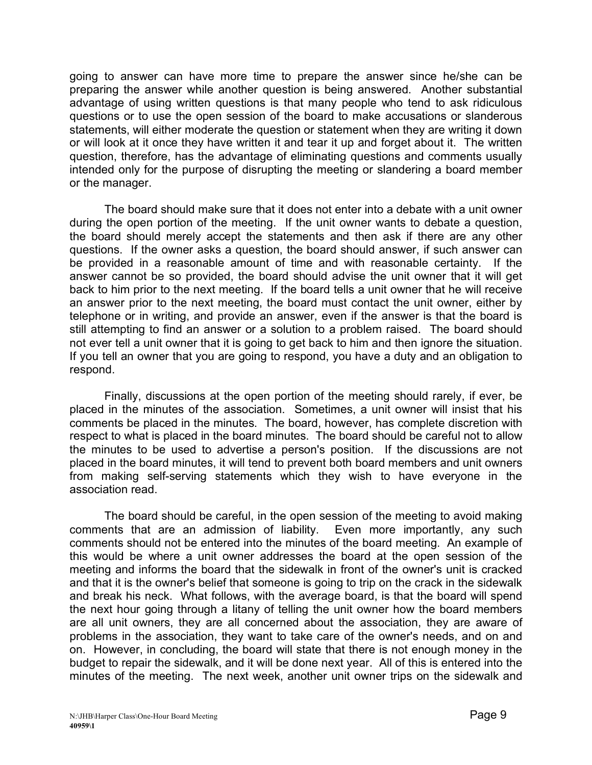going to answer can have more time to prepare the answer since he/she can be preparing the answer while another question is being answered. Another substantial advantage of using written questions is that many people who tend to ask ridiculous questions or to use the open session of the board to make accusations or slanderous statements, will either moderate the question or statement when they are writing it down or will look at it once they have written it and tear it up and forget about it. The written question, therefore, has the advantage of eliminating questions and comments usually intended only for the purpose of disrupting the meeting or slandering a board member or the manager.

The board should make sure that it does not enter into a debate with a unit owner during the open portion of the meeting. If the unit owner wants to debate a question, the board should merely accept the statements and then ask if there are any other questions. If the owner asks a question, the board should answer, if such answer can be provided in a reasonable amount of time and with reasonable certainty. If the answer cannot be so provided, the board should advise the unit owner that it will get back to him prior to the next meeting. If the board tells a unit owner that he will receive an answer prior to the next meeting, the board must contact the unit owner, either by telephone or in writing, and provide an answer, even if the answer is that the board is still attempting to find an answer or a solution to a problem raised. The board should not ever tell a unit owner that it is going to get back to him and then ignore the situation. If you tell an owner that you are going to respond, you have a duty and an obligation to respond.

Finally, discussions at the open portion of the meeting should rarely, if ever, be placed in the minutes of the association. Sometimes, a unit owner will insist that his comments be placed in the minutes. The board, however, has complete discretion with respect to what is placed in the board minutes. The board should be careful not to allow the minutes to be used to advertise a person's position. If the discussions are not placed in the board minutes, it will tend to prevent both board members and unit owners from making self-serving statements which they wish to have everyone in the association read.

The board should be careful, in the open session of the meeting to avoid making comments that are an admission of liability. Even more importantly, any such comments should not be entered into the minutes of the board meeting. An example of this would be where a unit owner addresses the board at the open session of the meeting and informs the board that the sidewalk in front of the owner's unit is cracked and that it is the owner's belief that someone is going to trip on the crack in the sidewalk and break his neck. What follows, with the average board, is that the board will spend the next hour going through a litany of telling the unit owner how the board members are all unit owners, they are all concerned about the association, they are aware of problems in the association, they want to take care of the owner's needs, and on and on. However, in concluding, the board will state that there is not enough money in the budget to repair the sidewalk, and it will be done next year. All of this is entered into the minutes of the meeting. The next week, another unit owner trips on the sidewalk and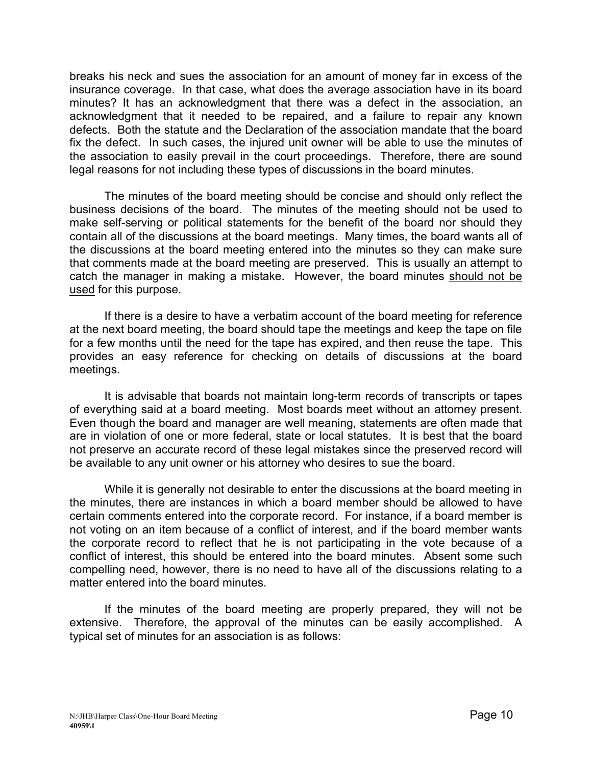breaks his neck and sues the association for an amount of money far in excess of the insurance coverage. In that case, what does the average association have in its board minutes? It has an acknowledgment that there was a defect in the association, an acknowledgment that it needed to be repaired, and a failure to repair any known defects. Both the statute and the Declaration of the association mandate that the board fix the defect. In such cases, the injured unit owner will be able to use the minutes of the association to easily prevail in the court proceedings. Therefore, there are sound legal reasons for not including these types of discussions in the board minutes.

The minutes of the board meeting should be concise and should only reflect the business decisions of the board. The minutes of the meeting should not be used to make self-serving or political statements for the benefit of the board nor should they contain all of the discussions at the board meetings. Many times, the board wants all of the discussions at the board meeting entered into the minutes so they can make sure that comments made at the board meeting are preserved. This is usually an attempt to catch the manager in making a mistake. However, the board minutes should not be used for this purpose.

If there is a desire to have a verbatim account of the board meeting for reference at the next board meeting, the board should tape the meetings and keep the tape on file for a few months until the need for the tape has expired, and then reuse the tape. This provides an easy reference for checking on details of discussions at the board meetings.

It is advisable that boards not maintain long-term records of transcripts or tapes of everything said at a board meeting. Most boards meet without an attorney present. Even though the board and manager are well meaning, statements are often made that are in violation of one or more federal, state or local statutes. It is best that the board not preserve an accurate record of these legal mistakes since the preserved record will be available to any unit owner or his attorney who desires to sue the board.

While it is generally not desirable to enter the discussions at the board meeting in the minutes, there are instances in which a board member should be allowed to have certain comments entered into the corporate record. For instance, if a board member is not voting on an item because of a conflict of interest, and if the board member wants the corporate record to reflect that he is not participating in the vote because of a conflict of interest, this should be entered into the board minutes. Absent some such compelling need, however, there is no need to have all of the discussions relating to a matter entered into the board minutes.

If the minutes of the board meeting are properly prepared, they will not be extensive. Therefore, the approval of the minutes can be easily accomplished. A typical set of minutes for an association is as follows: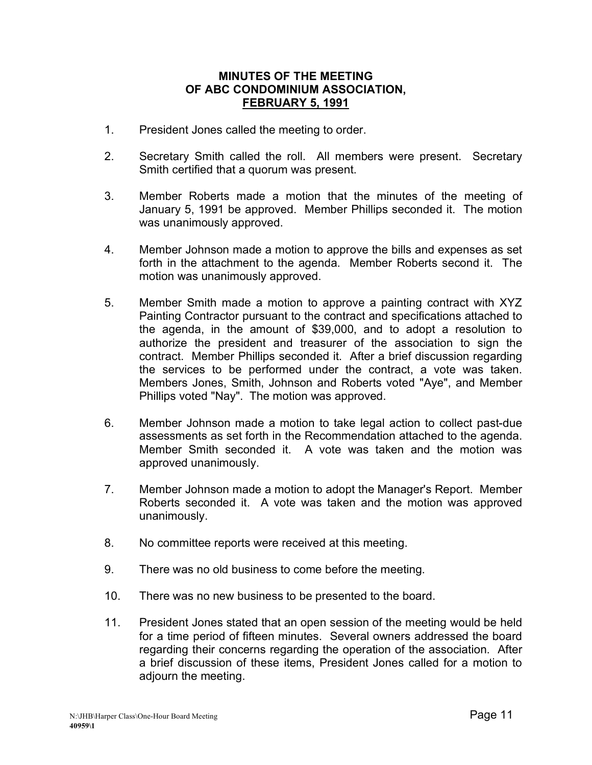#### **MINUTES OF THE MEETING OF ABC CONDOMINIUM ASSOCIATION, FEBRUARY 5, 1991**

- 1. President Jones called the meeting to order.
- 2. Secretary Smith called the roll. All members were present. Secretary Smith certified that a quorum was present.
- 3. Member Roberts made a motion that the minutes of the meeting of January 5, 1991 be approved. Member Phillips seconded it. The motion was unanimously approved.
- 4. Member Johnson made a motion to approve the bills and expenses as set forth in the attachment to the agenda. Member Roberts second it. The motion was unanimously approved.
- 5. Member Smith made a motion to approve a painting contract with XYZ Painting Contractor pursuant to the contract and specifications attached to the agenda, in the amount of \$39,000, and to adopt a resolution to authorize the president and treasurer of the association to sign the contract. Member Phillips seconded it. After a brief discussion regarding the services to be performed under the contract, a vote was taken. Members Jones, Smith, Johnson and Roberts voted "Aye", and Member Phillips voted "Nay". The motion was approved.
- 6. Member Johnson made a motion to take legal action to collect past-due assessments as set forth in the Recommendation attached to the agenda. Member Smith seconded it. A vote was taken and the motion was approved unanimously.
- 7. Member Johnson made a motion to adopt the Manager's Report. Member Roberts seconded it. A vote was taken and the motion was approved unanimously.
- 8. No committee reports were received at this meeting.
- 9. There was no old business to come before the meeting.
- 10. There was no new business to be presented to the board.
- 11. President Jones stated that an open session of the meeting would be held for a time period of fifteen minutes. Several owners addressed the board regarding their concerns regarding the operation of the association. After a brief discussion of these items, President Jones called for a motion to adjourn the meeting.